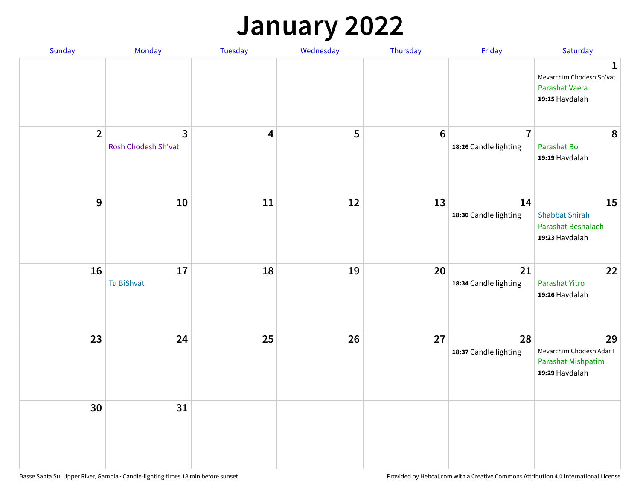### **January 2022**

| Sunday         | Monday                              | Tuesday                 | Wednesday | Thursday | Friday                                  | Saturday                                                                    |
|----------------|-------------------------------------|-------------------------|-----------|----------|-----------------------------------------|-----------------------------------------------------------------------------|
|                |                                     |                         |           |          |                                         | $\mathbf 1$<br>Mevarchim Chodesh Sh'vat<br>Parashat Vaera<br>19:15 Havdalah |
| $\overline{2}$ | $\mathbf{3}$<br>Rosh Chodesh Sh'vat | $\overline{\mathbf{4}}$ | 5         | $6\,$    | $\overline{7}$<br>18:26 Candle lighting | $\boldsymbol{8}$<br>Parashat Bo<br>19:19 Havdalah                           |
| $\mathbf{9}$   | 10                                  | $11\,$                  | 12        | 13       | 14<br>18:30 Candle lighting             | 15<br><b>Shabbat Shirah</b><br>Parashat Beshalach<br>19:23 Havdalah         |
| 16             | 17<br>Tu BiShvat                    | 18                      | 19        | 20       | 21<br>18:34 Candle lighting             | 22<br>Parashat Yitro<br>19:26 Havdalah                                      |
| 23             | 24                                  | 25                      | 26        | 27       | 28<br>18:37 Candle lighting             | 29<br>Mevarchim Chodesh Adar I<br>Parashat Mishpatim<br>19:29 Havdalah      |
| 30             | 31                                  |                         |           |          |                                         |                                                                             |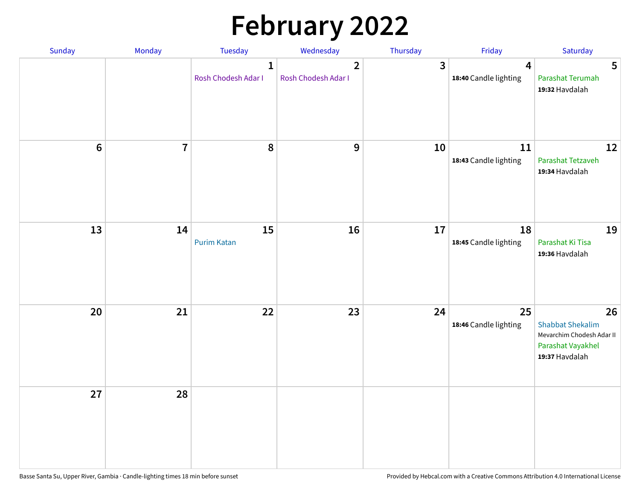# **February 2022**

| Sunday | Monday         | Tuesday                             | Wednesday                             | Thursday | Friday                                           | Saturday                                                                                          |
|--------|----------------|-------------------------------------|---------------------------------------|----------|--------------------------------------------------|---------------------------------------------------------------------------------------------------|
|        |                | $\mathbf{1}$<br>Rosh Chodesh Adar I | $\overline{2}$<br>Rosh Chodesh Adar I | 3        | $\overline{\mathbf{4}}$<br>18:40 Candle lighting | $5\phantom{.0}$<br>Parashat Terumah<br>19:32 Havdalah                                             |
| $6\,$  | $\overline{7}$ | 8                                   | 9                                     | 10       | $11\,$<br>18:43 Candle lighting                  | 12<br>Parashat Tetzaveh<br>19:34 Havdalah                                                         |
| 13     | 14             | 15<br><b>Purim Katan</b>            | 16                                    | 17       | 18<br>18:45 Candle lighting                      | 19<br>Parashat Ki Tisa<br>19:36 Havdalah                                                          |
| 20     | 21             | 22                                  | 23                                    | 24       | 25<br>18:46 Candle lighting                      | 26<br><b>Shabbat Shekalim</b><br>Mevarchim Chodesh Adar II<br>Parashat Vayakhel<br>19:37 Havdalah |
| 27     | 28             |                                     |                                       |          |                                                  |                                                                                                   |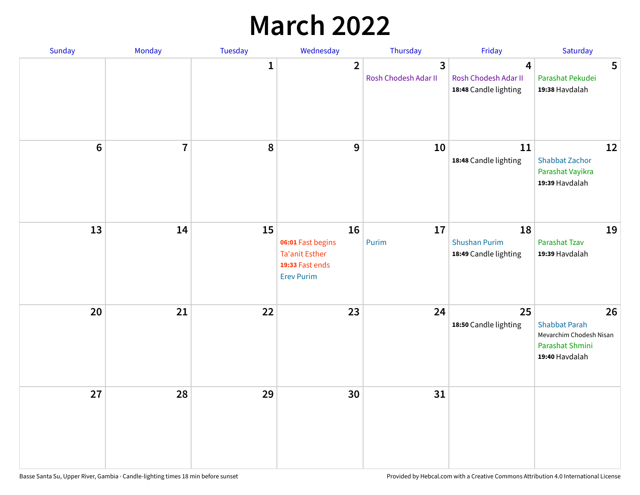## **March 2022**

| Sunday         | Monday         | Tuesday      | Wednesday                                                                                | Thursday                  | Friday                                              | Saturday                                                                                   |
|----------------|----------------|--------------|------------------------------------------------------------------------------------------|---------------------------|-----------------------------------------------------|--------------------------------------------------------------------------------------------|
|                |                | $\mathbf{1}$ | $\overline{2}$                                                                           | 3<br>Rosh Chodesh Adar II | 4<br>Rosh Chodesh Adar II<br>18:48 Candle lighting  | 5<br>Parashat Pekudei<br>19:38 Havdalah                                                    |
| $6\phantom{1}$ | $\overline{7}$ | 8            | $9$                                                                                      | 10                        | 11<br>18:48 Candle lighting                         | 12<br><b>Shabbat Zachor</b><br>Parashat Vayikra<br>19:39 Havdalah                          |
| 13             | 14             | 15           | 16<br>06:01 Fast begins<br><b>Ta'anit Esther</b><br>19:33 Fast ends<br><b>Erev Purim</b> | 17<br>Purim               | 18<br><b>Shushan Purim</b><br>18:49 Candle lighting | 19<br>Parashat Tzav<br>19:39 Havdalah                                                      |
| 20             | 21             | 22           | 23                                                                                       | 24                        | 25<br>18:50 Candle lighting                         | 26<br><b>Shabbat Parah</b><br>Mevarchim Chodesh Nisan<br>Parashat Shmini<br>19:40 Havdalah |
| 27             | 28             | 29           | 30                                                                                       | 31                        |                                                     |                                                                                            |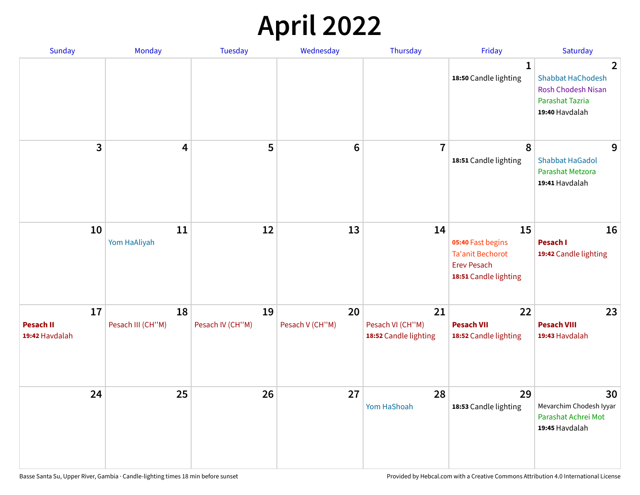## **April 2022**

| Sunday                                   | Monday                  | <b>Tuesday</b>         | Wednesday             | Thursday                                        | Friday                                                                                            | Saturday                                                                                                            |
|------------------------------------------|-------------------------|------------------------|-----------------------|-------------------------------------------------|---------------------------------------------------------------------------------------------------|---------------------------------------------------------------------------------------------------------------------|
|                                          |                         |                        |                       |                                                 | 1<br>18:50 Candle lighting                                                                        | $\overline{2}$<br><b>Shabbat HaChodesh</b><br><b>Rosh Chodesh Nisan</b><br><b>Parashat Tazria</b><br>19:40 Havdalah |
| 3                                        | $\overline{\mathbf{4}}$ | 5                      | $6\phantom{1}6$       | $\overline{7}$                                  | 8<br>18:51 Candle lighting                                                                        | 9<br><b>Shabbat HaGadol</b><br>Parashat Metzora<br>19:41 Havdalah                                                   |
| 10                                       | 11<br>Yom HaAliyah      | 12                     | 13                    | 14                                              | 15<br>05:40 Fast begins<br><b>Ta'anit Bechorot</b><br><b>Erev Pesach</b><br>18:51 Candle lighting | 16<br>Pesach I<br>19:42 Candle lighting                                                                             |
| 17<br><b>Pesach II</b><br>19:42 Havdalah | 18<br>Pesach III (CH"M) | 19<br>Pesach IV (CH"M) | 20<br>Pesach V (CH"M) | 21<br>Pesach VI (CH"M)<br>18:52 Candle lighting | 22<br><b>Pesach VII</b><br>18:52 Candle lighting                                                  | 23<br><b>Pesach VIII</b><br>19:43 Havdalah                                                                          |
| 24                                       | 25                      | 26                     | 27                    | 28<br>Yom HaShoah                               | 29<br>18:53 Candle lighting                                                                       | 30<br>Mevarchim Chodesh Iyyar<br>Parashat Achrei Mot<br>19:45 Havdalah                                              |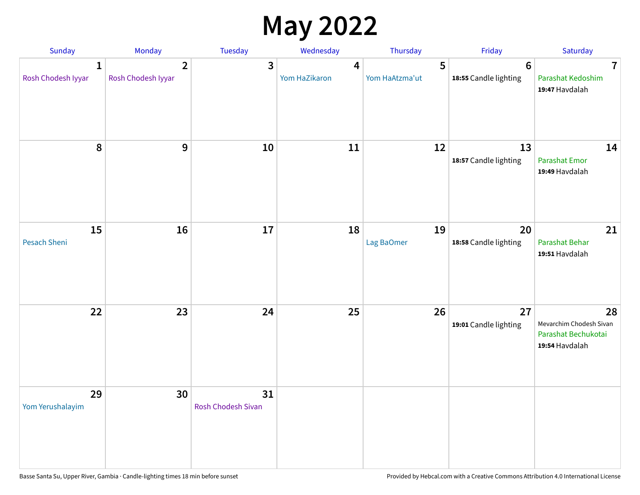## **May 2022**

| Sunday                             | Monday                             | Tuesday                         | Wednesday          | Thursday            | Friday                                  | Saturday                                                               |
|------------------------------------|------------------------------------|---------------------------------|--------------------|---------------------|-----------------------------------------|------------------------------------------------------------------------|
| $\mathbf{1}$<br>Rosh Chodesh Iyyar | $\mathbf{2}$<br>Rosh Chodesh Iyyar | 3                               | 4<br>Yom HaZikaron | 5<br>Yom HaAtzma'ut | $6\phantom{1}$<br>18:55 Candle lighting | $\overline{7}$<br>Parashat Kedoshim<br>19:47 Havdalah                  |
| 8                                  | 9                                  | 10                              | 11                 | 12                  | 13<br>18:57 Candle lighting             | 14<br>Parashat Emor<br>19:49 Havdalah                                  |
| 15<br>Pesach Sheni                 | 16                                 | 17                              | 18                 | 19<br>Lag BaOmer    | 20<br>18:58 Candle lighting             | 21<br>Parashat Behar<br>19:51 Havdalah                                 |
| 22                                 | 23                                 | 24                              | 25                 | 26                  | 27<br>19:01 Candle lighting             | 28<br>Mevarchim Chodesh Sivan<br>Parashat Bechukotai<br>19:54 Havdalah |
| 29<br>Yom Yerushalayim             | 30                                 | 31<br><b>Rosh Chodesh Sivan</b> |                    |                     |                                         |                                                                        |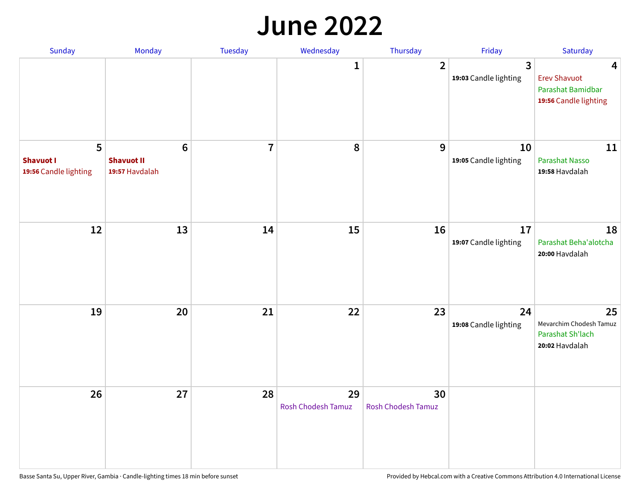#### **June 2022**

| Sunday                                         | Monday                                                | Tuesday        | Wednesday                       | Thursday                        | Friday                      | Saturday                                                               |
|------------------------------------------------|-------------------------------------------------------|----------------|---------------------------------|---------------------------------|-----------------------------|------------------------------------------------------------------------|
|                                                |                                                       |                | 1                               | $\overline{2}$                  | 3<br>19:03 Candle lighting  | 4<br><b>Erev Shavuot</b><br>Parashat Bamidbar<br>19:56 Candle lighting |
| 5<br><b>Shavuot I</b><br>19:56 Candle lighting | $6\phantom{1}$<br><b>Shavuot II</b><br>19:57 Havdalah | $\overline{7}$ | 8                               | 9                               | 10<br>19:05 Candle lighting | 11<br><b>Parashat Nasso</b><br>19:58 Havdalah                          |
| 12                                             | 13                                                    | 14             | 15                              | 16                              | 17<br>19:07 Candle lighting | 18<br>Parashat Beha'alotcha<br>20:00 Havdalah                          |
| 19                                             | 20                                                    | 21             | 22                              | 23                              | 24<br>19:08 Candle lighting | 25<br>Mevarchim Chodesh Tamuz<br>Parashat Sh'lach<br>20:02 Havdalah    |
| 26                                             | 27                                                    | 28             | 29<br><b>Rosh Chodesh Tamuz</b> | 30<br><b>Rosh Chodesh Tamuz</b> |                             |                                                                        |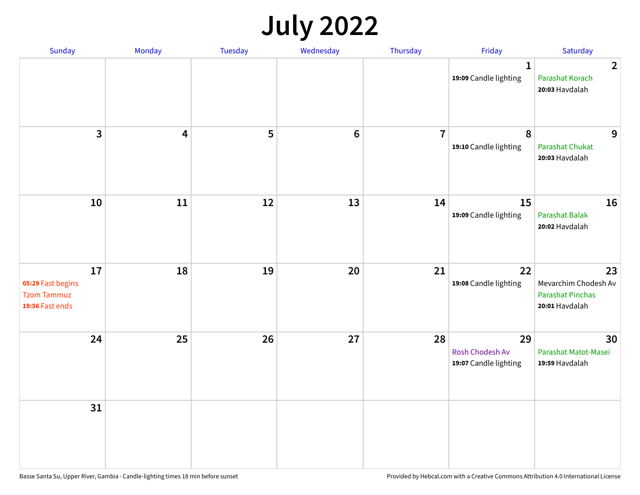## **July 2022**

| Sunday                                                           | Monday                  | Tuesday | Wednesday | Thursday       | Friday                                         | Saturday                                                                |
|------------------------------------------------------------------|-------------------------|---------|-----------|----------------|------------------------------------------------|-------------------------------------------------------------------------|
|                                                                  |                         |         |           |                | $\mathbf{1}$<br>19:09 Candle lighting          | $\overline{2}$<br>Parashat Korach<br>20:03 Havdalah                     |
| $\mathbf{3}$                                                     | $\overline{\mathbf{4}}$ | 5       | $\bf 6$   | $\overline{7}$ | 8<br>19:10 Candle lighting                     | 9<br>Parashat Chukat<br>20:03 Havdalah                                  |
| 10                                                               | 11                      | 12      | 13        | 14             | 15<br>19:09 Candle lighting                    | 16<br><b>Parashat Balak</b><br>20:02 Havdalah                           |
| 17<br>05:29 Fast begins<br><b>Tzom Tammuz</b><br>19:56 Fast ends | 18                      | 19      | 20        | 21             | 22<br>19:08 Candle lighting                    | 23<br>Mevarchim Chodesh Av<br><b>Parashat Pinchas</b><br>20:01 Havdalah |
| 24                                                               | 25                      | 26      | 27        | 28             | 29<br>Rosh Chodesh Av<br>19:07 Candle lighting | 30<br>Parashat Matot-Masei<br>19:59 Havdalah                            |
| 31                                                               |                         |         |           |                |                                                |                                                                         |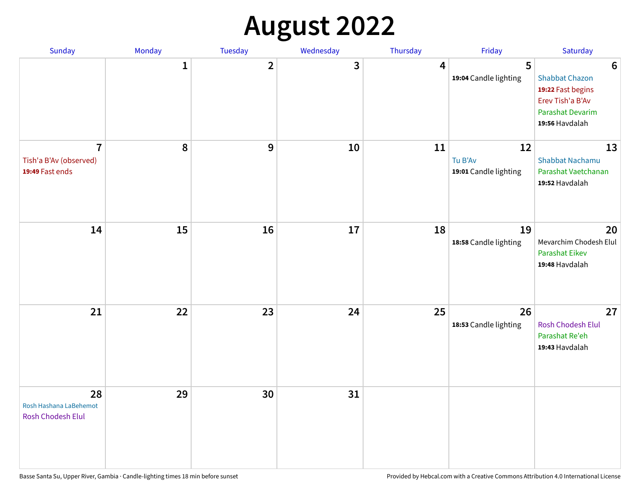# **August 2022**

| Sunday                                                      | Monday       | Tuesday                 | Wednesday | Thursday | Friday                                 | Saturday                                                                                                                       |
|-------------------------------------------------------------|--------------|-------------------------|-----------|----------|----------------------------------------|--------------------------------------------------------------------------------------------------------------------------------|
|                                                             | $\mathbf{1}$ | $\overline{\mathbf{2}}$ | 3         | 4        | 5<br>19:04 Candle lighting             | $6\phantom{1}6$<br><b>Shabbat Chazon</b><br>19:22 Fast begins<br>Erev Tish'a B'Av<br><b>Parashat Devarim</b><br>19:56 Havdalah |
| $\overline{7}$<br>Tish'a B'Av (observed)<br>19:49 Fast ends | 8            | 9                       | 10        | 11       | 12<br>Tu B'Av<br>19:01 Candle lighting | 13<br><b>Shabbat Nachamu</b><br>Parashat Vaetchanan<br>19:52 Havdalah                                                          |
| 14                                                          | 15           | 16                      | 17        | 18       | 19<br>18:58 Candle lighting            | 20<br>Mevarchim Chodesh Elul<br>Parashat Eikev<br>19:48 Havdalah                                                               |
| 21                                                          | 22           | 23                      | 24        | 25       | 26<br>18:53 Candle lighting            | 27<br><b>Rosh Chodesh Elul</b><br>Parashat Re'eh<br>19:43 Havdalah                                                             |
| 28<br>Rosh Hashana LaBehemot<br>Rosh Chodesh Elul           | 29           | 30                      | 31        |          |                                        |                                                                                                                                |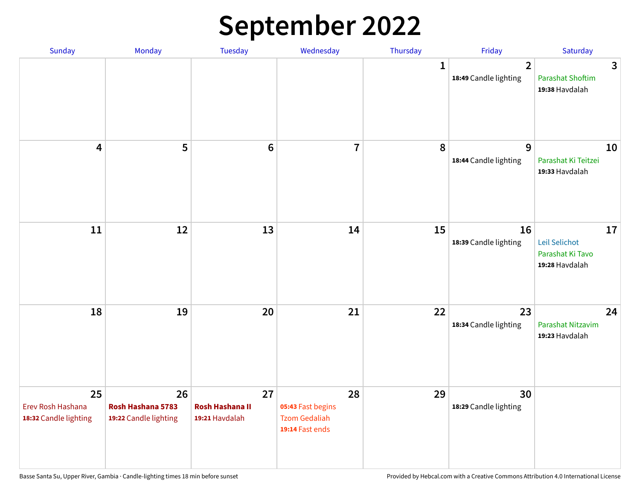## **September 2022**

| Sunday                                           | Monday                                           | Tuesday                                        | Wednesday                                                          | Thursday     | Friday                                  | Saturday                                                  |
|--------------------------------------------------|--------------------------------------------------|------------------------------------------------|--------------------------------------------------------------------|--------------|-----------------------------------------|-----------------------------------------------------------|
|                                                  |                                                  |                                                |                                                                    | $\mathbf{1}$ | $\overline{2}$<br>18:49 Candle lighting | 3<br><b>Parashat Shoftim</b><br>19:38 Havdalah            |
| $\overline{\mathbf{4}}$                          | 5                                                | $6\phantom{1}6$                                | $\overline{7}$                                                     | 8            | 9<br>18:44 Candle lighting              | 10<br>Parashat Ki Teitzei<br>19:33 Havdalah               |
| $11\,$                                           | 12                                               | 13                                             | 14                                                                 | 15           | 16<br>18:39 Candle lighting             | 17<br>Leil Selichot<br>Parashat Ki Tavo<br>19:28 Havdalah |
| 18                                               | 19                                               | 20                                             | 21                                                                 | 22           | 23<br>18:34 Candle lighting             | 24<br>Parashat Nitzavim<br>19:23 Havdalah                 |
| 25<br>Erev Rosh Hashana<br>18:32 Candle lighting | 26<br>Rosh Hashana 5783<br>19:22 Candle lighting | 27<br><b>Rosh Hashana II</b><br>19:21 Havdalah | 28<br>05:43 Fast begins<br><b>Tzom Gedaliah</b><br>19:14 Fast ends | 29           | 30<br>18:29 Candle lighting             |                                                           |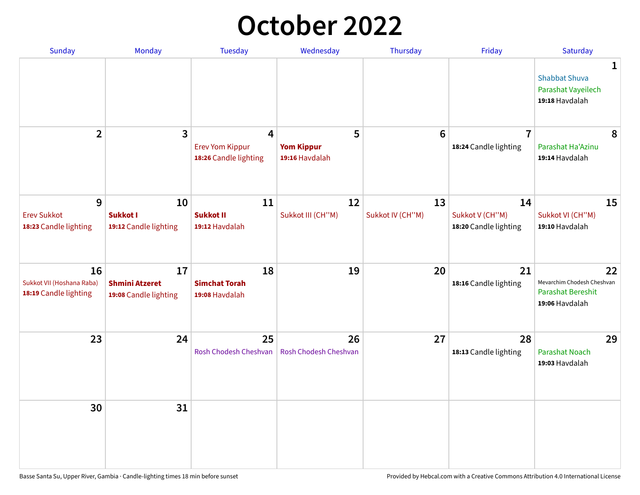## **October 2022**

| <b>Sunday</b>                                            | Monday                                               | <b>Tuesday</b>                                       | Wednesday                                | Thursday               | Friday                                         | Saturday                                                                |
|----------------------------------------------------------|------------------------------------------------------|------------------------------------------------------|------------------------------------------|------------------------|------------------------------------------------|-------------------------------------------------------------------------|
|                                                          |                                                      |                                                      |                                          |                        |                                                | 1<br><b>Shabbat Shuva</b><br>Parashat Vayeilech<br>19:18 Havdalah       |
| $\overline{2}$                                           | 3                                                    | 4<br><b>Erev Yom Kippur</b><br>18:26 Candle lighting | 5<br><b>Yom Kippur</b><br>19:16 Havdalah | 6                      | $\overline{7}$<br>18:24 Candle lighting        | 8<br>Parashat Ha'Azinu<br>19:14 Havdalah                                |
| 9<br><b>Erev Sukkot</b><br>18:23 Candle lighting         | 10<br><b>Sukkot I</b><br>19:12 Candle lighting       | 11<br><b>Sukkot II</b><br>19:12 Havdalah             | 12<br>Sukkot III (CH"M)                  | 13<br>Sukkot IV (CH"M) | 14<br>Sukkot V (CH"M)<br>18:20 Candle lighting | 15<br>Sukkot VI (CH"M)<br>19:10 Havdalah                                |
| 16<br>Sukkot VII (Hoshana Raba)<br>18:19 Candle lighting | 17<br><b>Shmini Atzeret</b><br>19:08 Candle lighting | 18<br><b>Simchat Torah</b><br>19:08 Havdalah         | 19                                       | 20                     | 21<br>18:16 Candle lighting                    | 22<br>Mevarchim Chodesh Cheshvan<br>Parashat Bereshit<br>19:06 Havdalah |
| 23                                                       | 24                                                   | 25<br>Rosh Chodesh Cheshvan                          | 26<br><b>Rosh Chodesh Cheshvan</b>       | 27                     | 28<br>18:13 Candle lighting                    | 29<br><b>Parashat Noach</b><br>19:03 Havdalah                           |
| 30                                                       | 31                                                   |                                                      |                                          |                        |                                                |                                                                         |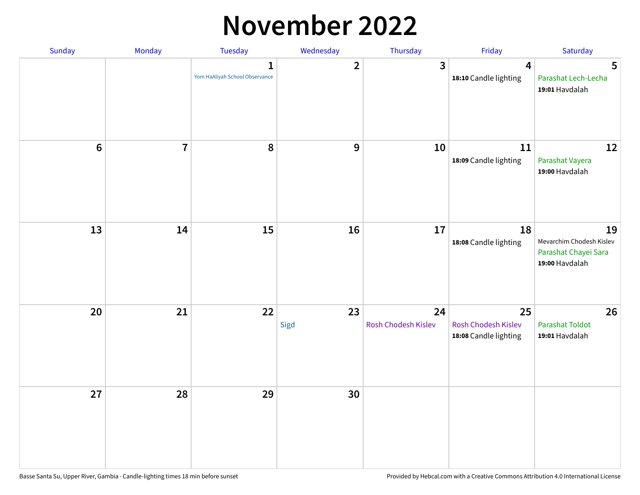## **November 2022**

| Sunday         | Monday         | Tuesday                                        | Wednesday      | Thursday                  | Friday                                             | Saturday                                                                 |
|----------------|----------------|------------------------------------------------|----------------|---------------------------|----------------------------------------------------|--------------------------------------------------------------------------|
|                |                | $\mathbf{1}$<br>Yom HaAliyah School Observance | $\overline{2}$ | 3                         | $\overline{4}$<br>18:10 Candle lighting            | $5\phantom{1}$<br>Parashat Lech-Lecha<br>19:01 Havdalah                  |
| $6\phantom{1}$ | $\overline{7}$ | 8                                              | 9              | 10                        | 11<br>18:09 Candle lighting                        | 12<br>Parashat Vayera<br>19:00 Havdalah                                  |
| 13             | 14             | 15                                             | 16             | 17                        | 18<br>18:08 Candle lighting                        | 19<br>Mevarchim Chodesh Kislev<br>Parashat Chayei Sara<br>19:00 Havdalah |
| 20             | 21             | 22                                             | 23<br>Sigd     | 24<br>Rosh Chodesh Kislev | 25<br>Rosh Chodesh Kislev<br>18:08 Candle lighting | 26<br><b>Parashat Toldot</b><br>19:01 Havdalah                           |
| 27             | 28             | 29                                             | 30             |                           |                                                    |                                                                          |